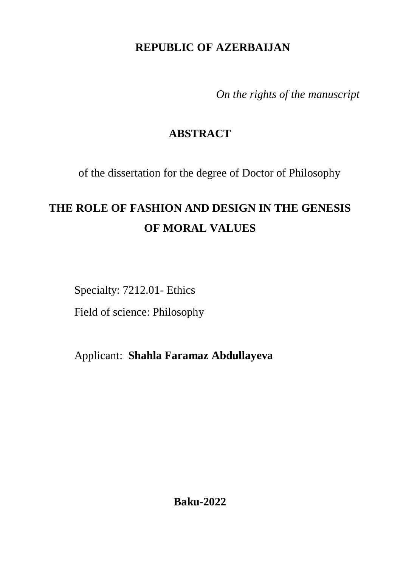# **REPUBLIC OF AZERBAIJAN**

*On the rights of the manuscript*

# **ABSTRACT**

of the dissertation for the degree of Doctor of Philosophy

# **THE ROLE OF FASHION AND DESIGN IN THE GENESIS OF MORAL VALUES**

Specialty: 7212.01- Ethics

Field of science: Philosophy

Applicant: **Shahla Faramaz Abdullayeva**

**Baku-2022**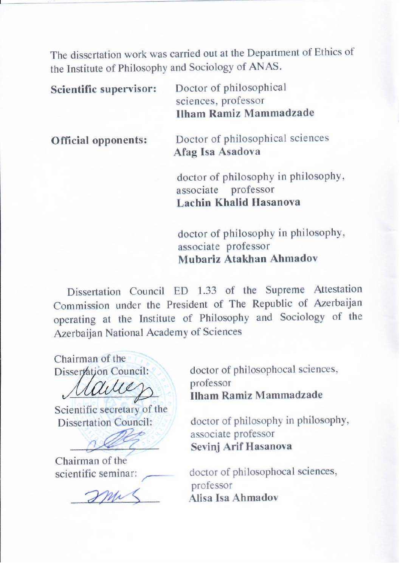The dissertation work was carried out at the Department of Ethics of the Institute of Philosophy and Sociology of ANAS.

| Scientific supervisor:     | Doctor of philosophical<br>sciences, professor<br><b>Ilham Ramiz Mammadzade</b>             |
|----------------------------|---------------------------------------------------------------------------------------------|
| <b>Official opponents:</b> | Doctor of philosophical sciences<br>Afag Isa Asadova                                        |
|                            | doctor of philosophy in philosophy,<br>associate professor<br><b>Lachin Khalid Hasanova</b> |

doctor of philosophy in philosophy, associate professor **Mubariz Atakhan Ahmadov**

 Dissertation Council ED 1.33 of the Supreme Attestation Commission under the President of The Republic of Azerbaijan operating at the Institute of Philosophy and Sociology of the Azerbaijan National Academy of Sciences

Chairman of the<br>Disservation Council:

Scientific secretary of the<br>Dissertation Council:

Chairman of the<br>scientific seminar:

doctor of philosophocal sciences,<br>professor profess **Ilham Ramiz Mammadzade** 

doctor of philosophy in philosophy,<br>associate professor associate professor **Sevinj Arif Hasanova**

doctor of philosophocal sciences,<br>professor Alisa Isa Ahmadov **Alisa Isa Ahmadov**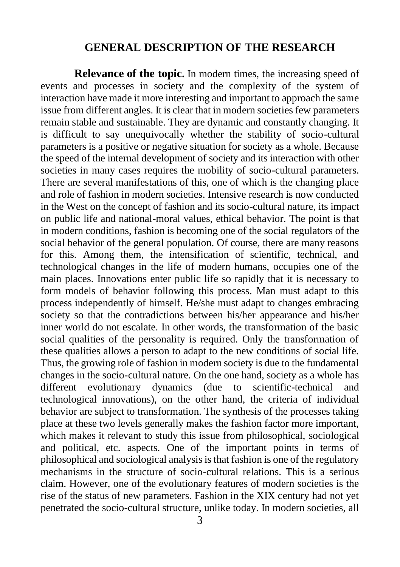#### **GENERAL DESCRIPTION OF THE RESEARCH**

**Relevance of the topic.** In modern times, the increasing speed of events and processes in society and the complexity of the system of interaction have made it more interesting and important to approach the same issue from different angles. It is clear that in modern societies few parameters remain stable and sustainable. They are dynamic and constantly changing. It is difficult to say unequivocally whether the stability of socio-cultural parameters is a positive or negative situation for society as a whole. Because the speed of the internal development of society and its interaction with other societies in many cases requires the mobility of socio-cultural parameters. There are several manifestations of this, one of which is the changing place and role of fashion in modern societies. Intensive research is now conducted in the West on the concept of fashion and its socio-cultural nature, its impact on public life and national-moral values, ethical behavior. The point is that in modern conditions, fashion is becoming one of the social regulators of the social behavior of the general population. Of course, there are many reasons for this. Among them, the intensification of scientific, technical, and technological changes in the life of modern humans, occupies one of the main places. Innovations enter public life so rapidly that it is necessary to form models of behavior following this process. Man must adapt to this process independently of himself. He/she must adapt to changes embracing society so that the contradictions between his/her appearance and his/her inner world do not escalate. In other words, the transformation of the basic social qualities of the personality is required. Only the transformation of these qualities allows a person to adapt to the new conditions of social life. Thus, the growing role of fashion in modern society is due to the fundamental changes in the socio-cultural nature. On the one hand, society as a whole has different evolutionary dynamics (due to scientific-technical and technological innovations), on the other hand, the criteria of individual behavior are subject to transformation. The synthesis of the processes taking place at these two levels generally makes the fashion factor more important, which makes it relevant to study this issue from philosophical, sociological and political, etc. aspects. One of the important points in terms of philosophical and sociological analysis is that fashion is one of the regulatory mechanisms in the structure of socio-cultural relations. This is a serious claim. However, one of the evolutionary features of modern societies is the rise of the status of new parameters. Fashion in the XIX century had not yet penetrated the socio-cultural structure, unlike today. In modern societies, all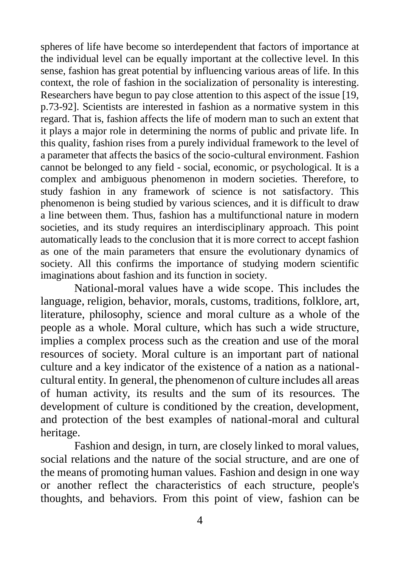spheres of life have become so interdependent that factors of importance at the individual level can be equally important at the collective level. In this sense, fashion has great potential by influencing various areas of life. In this context, the role of fashion in the socialization of personality is interesting. Researchers have begun to pay close attention to this aspect of the issue [19, p.73-92]. Scientists are interested in fashion as a normative system in this regard. That is, fashion affects the life of modern man to such an extent that it plays a major role in determining the norms of public and private life. In this quality, fashion rises from a purely individual framework to the level of a parameter that affects the basics of the socio-cultural environment. Fashion cannot be belonged to any field - social, economic, or psychological. It is a complex and ambiguous phenomenon in modern societies. Therefore, to study fashion in any framework of science is not satisfactory. This phenomenon is being studied by various sciences, and it is difficult to draw a line between them. Thus, fashion has a multifunctional nature in modern societies, and its study requires an interdisciplinary approach. This point automatically leads to the conclusion that it is more correct to accept fashion as one of the main parameters that ensure the evolutionary dynamics of society. All this confirms the importance of studying modern scientific imaginations about fashion and its function in society.

National-moral values have a wide scope. This includes the language, religion, behavior, morals, customs, traditions, folklore, art, literature, philosophy, science and moral culture as a whole of the people as a whole. Moral culture, which has such a wide structure, implies a complex process such as the creation and use of the moral resources of society. Moral culture is an important part of national culture and a key indicator of the existence of a nation as a nationalcultural entity. In general, the phenomenon of culture includes all areas of human activity, its results and the sum of its resources. The development of culture is conditioned by the creation, development, and protection of the best examples of national-moral and cultural heritage.

Fashion and design, in turn, are closely linked to moral values, social relations and the nature of the social structure, and are one of the means of promoting human values. Fashion and design in one way or another reflect the characteristics of each structure, people's thoughts, and behaviors. From this point of view, fashion can be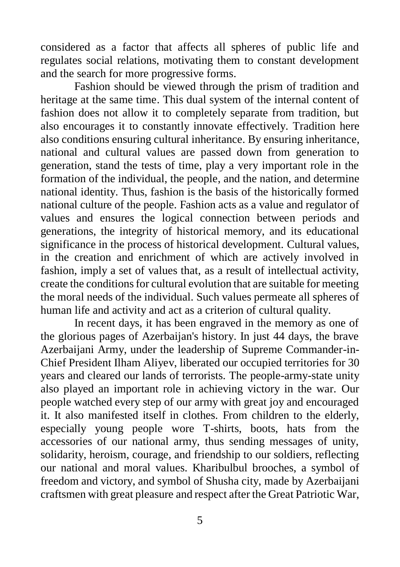considered as a factor that affects all spheres of public life and regulates social relations, motivating them to constant development and the search for more progressive forms.

Fashion should be viewed through the prism of tradition and heritage at the same time. This dual system of the internal content of fashion does not allow it to completely separate from tradition, but also encourages it to constantly innovate effectively. Tradition here also conditions ensuring cultural inheritance. By ensuring inheritance, national and cultural values are passed down from generation to generation, stand the tests of time, play a very important role in the formation of the individual, the people, and the nation, and determine national identity. Thus, fashion is the basis of the historically formed national culture of the people. Fashion acts as a value and regulator of values and ensures the logical connection between periods and generations, the integrity of historical memory, and its educational significance in the process of historical development. Cultural values, in the creation and enrichment of which are actively involved in fashion, imply a set of values that, as a result of intellectual activity, create the conditions for cultural evolution that are suitable for meeting the moral needs of the individual. Such values permeate all spheres of human life and activity and act as a criterion of cultural quality.

In recent days, it has been engraved in the memory as one of the glorious pages of Azerbaijan's history. In just 44 days, the brave Azerbaijani Army, under the leadership of Supreme Commander-in-Chief President Ilham Aliyev, liberated our occupied territories for 30 years and cleared our lands of terrorists. The people-army-state unity also played an important role in achieving victory in the war. Our people watched every step of our army with great joy and encouraged it. It also manifested itself in clothes. From children to the elderly, especially young people wore T-shirts, boots, hats from the accessories of our national army, thus sending messages of unity, solidarity, heroism, courage, and friendship to our soldiers, reflecting our national and moral values. Kharibulbul brooches, a symbol of freedom and victory, and symbol of Shusha city, made by Azerbaijani craftsmen with great pleasure and respect after the Great Patriotic War,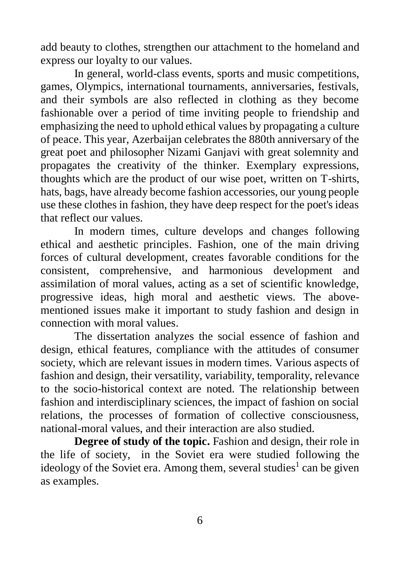add beauty to clothes, strengthen our attachment to the homeland and express our loyalty to our values.

In general, world-class events, sports and music competitions, games, Olympics, international tournaments, anniversaries, festivals, and their symbols are also reflected in clothing as they become fashionable over a period of time inviting people to friendship and emphasizing the need to uphold ethical values by propagating a culture of peace. This year, Azerbaijan celebrates the 880th anniversary of the great poet and philosopher Nizami Ganjavi with great solemnity and propagates the creativity of the thinker. Exemplary expressions, thoughts which are the product of our wise poet, written on T-shirts, hats, bags, have already become fashion accessories, our young people use these clothes in fashion, they have deep respect for the poet's ideas that reflect our values.

In modern times, culture develops and changes following ethical and aesthetic principles. Fashion, one of the main driving forces of cultural development, creates favorable conditions for the consistent, comprehensive, and harmonious development and assimilation of moral values, acting as a set of scientific knowledge, progressive ideas, high moral and aesthetic views. The abovementioned issues make it important to study fashion and design in connection with moral values.

The dissertation analyzes the social essence of fashion and design, ethical features, compliance with the attitudes of consumer society, which are relevant issues in modern times. Various aspects of fashion and design, their versatility, variability, temporality, relevance to the socio-historical context are noted. The relationship between fashion and interdisciplinary sciences, the impact of fashion on social relations, the processes of formation of collective consciousness, national-moral values, and their interaction are also studied.

**Degree of study of the topic.** Fashion and design, their role in the life of society, in the Soviet era were studied following the ideology of the Soviet era. Among them, several studies<sup>1</sup> can be given as examples.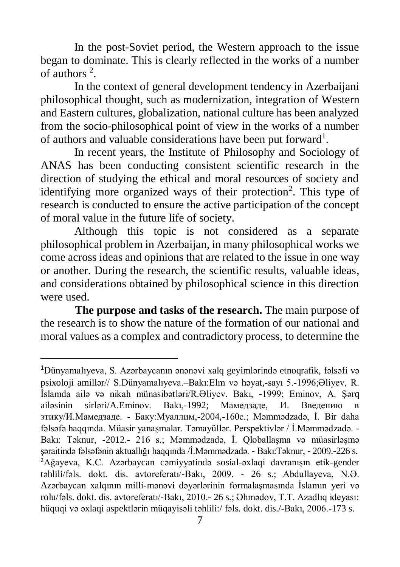In the post-Soviet period, the Western approach to the issue began to dominate. This is clearly reflected in the works of a number of authors<sup>2</sup>.

In the context of general development tendency in Azerbaijani philosophical thought, such as modernization, integration of Western and Eastern cultures, globalization, national culture has been analyzed from the socio-philosophical point of view in the works of a number of authors and valuable considerations have been put forward<sup>1</sup>.

In recent years, the Institute of Philosophy and Sociology of ANAS has been conducting consistent scientific research in the direction of studying the ethical and moral resources of society and identifying more organized ways of their protection<sup>2</sup>. This type of research is conducted to ensure the active participation of the concept of moral value in the future life of society.

Although this topic is not considered as a separate philosophical problem in Azerbaijan, in many philosophical works we come across ideas and opinions that are related to the issue in one way or another. During the research, the scientific results, valuable ideas, and considerations obtained by philosophical science in this direction were used.

**The purpose and tasks of the research.** The main purpose of the research is to show the nature of the formation of our national and moral values as a complex and contradictory process, to determine the

1

<sup>1</sup>Dünyamalıyeva, S. Azərbaycanın ənənəvi xalq geyimlərində etnoqrafik, fəlsəfi və psixoloji amillər// S.Dünyamalıyeva.–Bakı:Elm və həyat,-sayı 5.-1996;Əliyev, R. İslamda ailə və nikah münasibətləri/R.Əliyev. Bakı, -1999; Eminov, A. Şərq ailəsinin sirləri/A.Eminov. Bakı,-1992; Мамедзаде, И. Введению в этику/И.Мамедзаде. - Баку:Муаллим,-2004,-160с.; Məmmədzadə, İ. Bir daha fəlsəfə haqqında. Müasir yanaşmalar. Təmayüllər. Perspektivlər / İ.Məmmədzadə. - Bakı: Təknur, -2012.- 216 s.; Məmmədzadə, İ. Qloballaşma və müasirləşmə şəraitində fəlsəfənin aktuallığı haqqında /İ.Məmmədzadə. - Bakı:Təknur, - 2009.-226 s. <sup>2</sup>Ağayeva, K.C. Azərbaycan cəmiyyətində sosial-əxlaqi davranışın etik-gender təhlili/fəls. dokt. dis. avtoreferatı/-Bakı, 2009. - 26 s.; Abdullayeva, N.Ə. Azərbaycan xalqının milli-mənəvi dəyərlərinin formalaşmasında İslamın yeri və rolu/fəls. dokt. dis. avtoreferatı/-Bakı, 2010.- 26 s.; Əhmədov, T.T. Azadlıq ideyası: hüquqi və əxlaqi aspektlərin müqayisəli təhlili:/ fəls. dokt. dis./-Bakı, 2006.-173 s.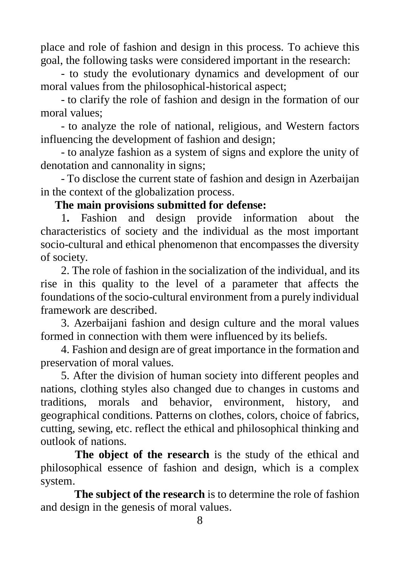place and role of fashion and design in this process. To achieve this goal, the following tasks were considered important in the research:

- to study the evolutionary dynamics and development of our moral values from the philosophical-historical aspect;

- to clarify the role of fashion and design in the formation of our moral values;

- to analyze the role of national, religious, and Western factors influencing the development of fashion and design;

- to analyze fashion as a system of signs and explore the unity of denotation and cannonality in signs;

- To disclose the current state of fashion and design in Azerbaijan in the context of the globalization process.

## **The main provisions submitted for defense:**

1**.** Fashion and design provide information about the characteristics of society and the individual as the most important socio-cultural and ethical phenomenon that encompasses the diversity of society.

2. The role of fashion in the socialization of the individual, and its rise in this quality to the level of a parameter that affects the foundations of the socio-cultural environment from a purely individual framework are described.

3. Azerbaijani fashion and design culture and the moral values formed in connection with them were influenced by its beliefs.

4. Fashion and design are of great importance in the formation and preservation of moral values.

5. After the division of human society into different peoples and nations, clothing styles also changed due to changes in customs and traditions, morals and behavior, environment, history, and geographical conditions. Patterns on clothes, colors, choice of fabrics, cutting, sewing, etc. reflect the ethical and philosophical thinking and outlook of nations.

**The object of the research** is the study of the ethical and philosophical essence of fashion and design, which is a complex system.

**The subject of the research** is to determine the role of fashion and design in the genesis of moral values.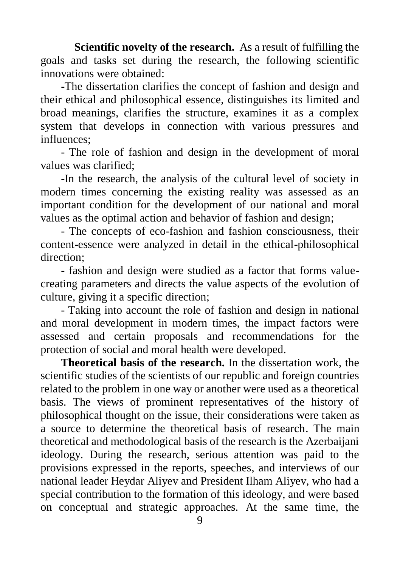**Scientific novelty of the research.** As a result of fulfilling the goals and tasks set during the research, the following scientific innovations were obtained:

-The dissertation clarifies the concept of fashion and design and their ethical and philosophical essence, distinguishes its limited and broad meanings, clarifies the structure, examines it as a complex system that develops in connection with various pressures and influences;

- The role of fashion and design in the development of moral values was clarified;

-In the research, the analysis of the cultural level of society in modern times concerning the existing reality was assessed as an important condition for the development of our national and moral values as the optimal action and behavior of fashion and design;

- The concepts of eco-fashion and fashion consciousness, their content-essence were analyzed in detail in the ethical-philosophical direction;

- fashion and design were studied as a factor that forms valuecreating parameters and directs the value aspects of the evolution of culture, giving it a specific direction;

- Taking into account the role of fashion and design in national and moral development in modern times, the impact factors were assessed and certain proposals and recommendations for the protection of social and moral health were developed.

**Theoretical basis of the research.** In the dissertation work, the scientific studies of the scientists of our republic and foreign countries related to the problem in one way or another were used as a theoretical basis. The views of prominent representatives of the history of philosophical thought on the issue, their considerations were taken as a source to determine the theoretical basis of research. The main theoretical and methodological basis of the research is the Azerbaijani ideology. During the research, serious attention was paid to the provisions expressed in the reports, speeches, and interviews of our national leader Heydar Aliyev and President Ilham Aliyev, who had a special contribution to the formation of this ideology, and were based on conceptual and strategic approaches. At the same time, the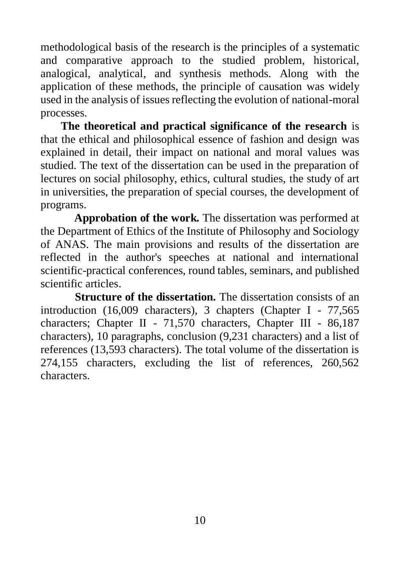methodological basis of the research is the principles of a systematic and comparative approach to the studied problem, historical, analogical, analytical, and synthesis methods. Along with the application of these methods, the principle of causation was widely used in the analysis of issues reflecting the evolution of national-moral processes.

**The theoretical and practical significance of the research** is that the ethical and philosophical essence of fashion and design was explained in detail, their impact on national and moral values was studied. The text of the dissertation can be used in the preparation of lectures on social philosophy, ethics, cultural studies, the study of art in universities, the preparation of special courses, the development of programs.

**Approbation of the work.** The dissertation was performed at the Department of Ethics of the Institute of Philosophy and Sociology of ANAS. The main provisions and results of the dissertation are reflected in the author's speeches at national and international scientific-practical conferences, round tables, seminars, and published scientific articles.

**Structure of the dissertation.** The dissertation consists of an introduction (16,009 characters), 3 chapters (Chapter I - 77,565 characters; Chapter II - 71,570 characters, Chapter III - 86,187 characters), 10 paragraphs, conclusion (9,231 characters) and a list of references (13,593 characters). The total volume of the dissertation is 274,155 characters, excluding the list of references, 260,562 characters.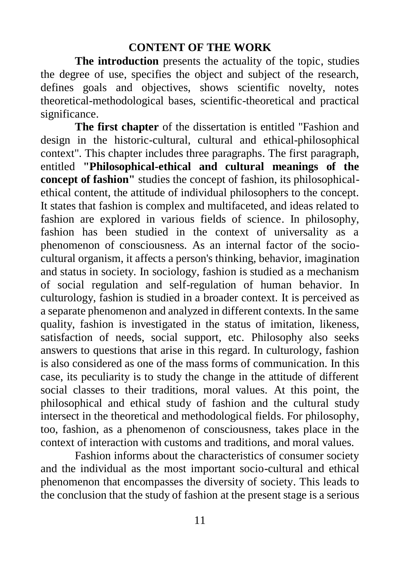## **CONTENT OF THE WORK**

**The introduction** presents the actuality of the topic, studies the degree of use, specifies the object and subject of the research, defines goals and objectives, shows scientific novelty, notes theoretical-methodological bases, scientific-theoretical and practical significance.

**The first chapter** of the dissertation is entitled "Fashion and design in the historic-cultural, cultural and ethical-philosophical context". This chapter includes three paragraphs. The first paragraph, entitled **"Philosophical-ethical and cultural meanings of the concept of fashion"** studies the concept of fashion, its philosophicalethical content, the attitude of individual philosophers to the concept. It states that fashion is complex and multifaceted, and ideas related to fashion are explored in various fields of science. In philosophy, fashion has been studied in the context of universality as a phenomenon of consciousness. As an internal factor of the sociocultural organism, it affects a person's thinking, behavior, imagination and status in society. In sociology, fashion is studied as a mechanism of social regulation and self-regulation of human behavior. In culturology, fashion is studied in a broader context. It is perceived as a separate phenomenon and analyzed in different contexts. In the same quality, fashion is investigated in the status of imitation, likeness, satisfaction of needs, social support, etc. Philosophy also seeks answers to questions that arise in this regard. In culturology, fashion is also considered as one of the mass forms of communication. In this case, its peculiarity is to study the change in the attitude of different social classes to their traditions, moral values. At this point, the philosophical and ethical study of fashion and the cultural study intersect in the theoretical and methodological fields. For philosophy, too, fashion, as a phenomenon of consciousness, takes place in the context of interaction with customs and traditions, and moral values.

Fashion informs about the characteristics of consumer society and the individual as the most important socio-cultural and ethical phenomenon that encompasses the diversity of society. This leads to the conclusion that the study of fashion at the present stage is a serious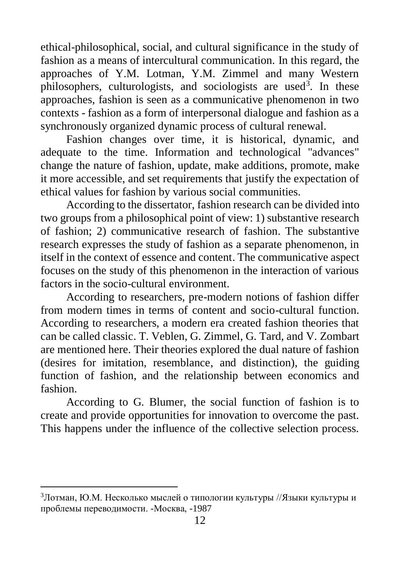ethical-philosophical, social, and cultural significance in the study of fashion as a means of intercultural communication. In this regard, the approaches of Y.M. Lotman, Y.M. Zimmel and many Western philosophers, culturologists, and sociologists are used<sup>3</sup>. In these approaches, fashion is seen as a communicative phenomenon in two contexts - fashion as a form of interpersonal dialogue and fashion as a synchronously organized dynamic process of cultural renewal.

Fashion changes over time, it is historical, dynamic, and adequate to the time. Information and technological "advances" change the nature of fashion, update, make additions, promote, make it more accessible, and set requirements that justify the expectation of ethical values for fashion by various social communities.

According to the dissertator, fashion research can be divided into two groups from a philosophical point of view: 1) substantive research of fashion; 2) communicative research of fashion. The substantive research expresses the study of fashion as a separate phenomenon, in itself in the context of essence and content. The communicative aspect focuses on the study of this phenomenon in the interaction of various factors in the socio-cultural environment.

According to researchers, pre-modern notions of fashion differ from modern times in terms of content and socio-cultural function. According to researchers, a modern era created fashion theories that can be called classic. T. Veblen, G. Zimmel, G. Tard, and V. Zombart are mentioned here. Their theories explored the dual nature of fashion (desires for imitation, resemblance, and distinction), the guiding function of fashion, and the relationship between economics and fashion.

According to G. Blumer, the social function of fashion is to create and provide opportunities for innovation to overcome the past. This happens under the influence of the collective selection process.

 $\overline{a}$ 

<sup>3</sup>Лотман, Ю.М. Несколько мыслей о типологии культуры //Языки культуры и проблемы переводимости. -Москва, -1987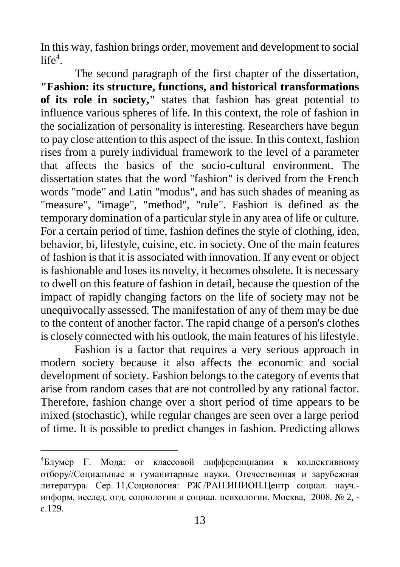In this way, fashion brings order, movement and development to social  $life<sup>4</sup>$ .

The second paragraph of the first chapter of the dissertation, **"Fashion: its structure, functions, and historical transformations of its role in society,"** states that fashion has great potential to influence various spheres of life. In this context, the role of fashion in the socialization of personality is interesting. Researchers have begun to pay close attention to this aspect of the issue. In this context, fashion rises from a purely individual framework to the level of a parameter that affects the basics of the socio-cultural environment. The dissertation states that the word "fashion" is derived from the French words "mode" and Latin "modus", and has such shades of meaning as "measure", "image", "method", "rule". Fashion is defined as the temporary domination of a particular style in any area of life or culture. For a certain period of time, fashion defines the style of clothing, idea, behavior, bi, lifestyle, cuisine, etc. in society. One of the main features of fashion is that it is associated with innovation. If any event or object is fashionable and loses its novelty, it becomes obsolete. It is necessary to dwell on this feature of fashion in detail, because the question of the impact of rapidly changing factors on the life of society may not be unequivocally assessed. The manifestation of any of them may be due to the content of another factor. The rapid change of a person's clothes is closely connected with his outlook, the main features of his lifestyle.

Fashion is a factor that requires a very serious approach in modern society because it also affects the economic and social development of society. Fashion belongs to the category of events that arise from random cases that are not controlled by any rational factor. Therefore, fashion change over a short period of time appears to be mixed (stochastic), while regular changes are seen over a large period of time. It is possible to predict changes in fashion. Predicting allows

1

<sup>4</sup>Блумер Г. Мода: от классовой дифференциации к коллективному отбору//Социальные и гуманитарные науки. Отечественная и зарубежная литература. Сер. 11,Социология: РЖ /РАН.ИНИОН.Центр социал. науч. информ. исслед. отд. социологии и социал. психологии. Москва, 2008. № 2, с.129.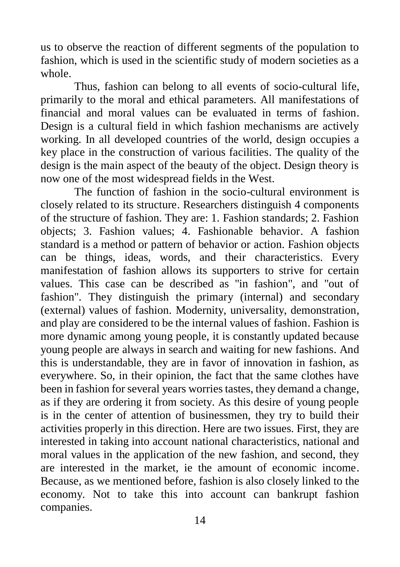us to observe the reaction of different segments of the population to fashion, which is used in the scientific study of modern societies as a whole.

Thus, fashion can belong to all events of socio-cultural life, primarily to the moral and ethical parameters. All manifestations of financial and moral values can be evaluated in terms of fashion. Design is a cultural field in which fashion mechanisms are actively working. In all developed countries of the world, design occupies a key place in the construction of various facilities. The quality of the design is the main aspect of the beauty of the object. Design theory is now one of the most widespread fields in the West.

The function of fashion in the socio-cultural environment is closely related to its structure. Researchers distinguish 4 components of the structure of fashion. They are: 1. Fashion standards; 2. Fashion objects; 3. Fashion values; 4. Fashionable behavior. A fashion standard is a method or pattern of behavior or action. Fashion objects can be things, ideas, words, and their characteristics. Every manifestation of fashion allows its supporters to strive for certain values. This case can be described as "in fashion", and "out of fashion". They distinguish the primary (internal) and secondary (external) values of fashion. Modernity, universality, demonstration, and play are considered to be the internal values of fashion. Fashion is more dynamic among young people, it is constantly updated because young people are always in search and waiting for new fashions. And this is understandable, they are in favor of innovation in fashion, as everywhere. So, in their opinion, the fact that the same clothes have been in fashion for several years worries tastes, they demand a change, as if they are ordering it from society. As this desire of young people is in the center of attention of businessmen, they try to build their activities properly in this direction. Here are two issues. First, they are interested in taking into account national characteristics, national and moral values in the application of the new fashion, and second, they are interested in the market, ie the amount of economic income. Because, as we mentioned before, fashion is also closely linked to the economy. Not to take this into account can bankrupt fashion companies.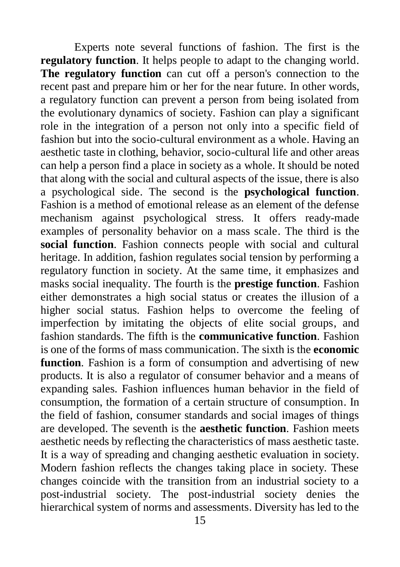Experts note several functions of fashion. The first is the **regulatory function**. It helps people to adapt to the changing world. **The regulatory function** can cut off a person's connection to the recent past and prepare him or her for the near future. In other words, a regulatory function can prevent a person from being isolated from the evolutionary dynamics of society. Fashion can play a significant role in the integration of a person not only into a specific field of fashion but into the socio-cultural environment as a whole. Having an aesthetic taste in clothing, behavior, socio-cultural life and other areas can help a person find a place in society as a whole. It should be noted that along with the social and cultural aspects of the issue, there is also a psychological side. The second is the **psychological function**. Fashion is a method of emotional release as an element of the defense mechanism against psychological stress. It offers ready-made examples of personality behavior on a mass scale. The third is the **social function**. Fashion connects people with social and cultural heritage. In addition, fashion regulates social tension by performing a regulatory function in society. At the same time, it emphasizes and masks social inequality. The fourth is the **prestige function**. Fashion either demonstrates a high social status or creates the illusion of a higher social status. Fashion helps to overcome the feeling of imperfection by imitating the objects of elite social groups, and fashion standards. The fifth is the **communicative function**. Fashion is one of the forms of mass communication. The sixth is the **economic function**. Fashion is a form of consumption and advertising of new products. It is also a regulator of consumer behavior and a means of expanding sales. Fashion influences human behavior in the field of consumption, the formation of a certain structure of consumption. In the field of fashion, consumer standards and social images of things are developed. The seventh is the **aesthetic function**. Fashion meets aesthetic needs by reflecting the characteristics of mass aesthetic taste. It is a way of spreading and changing aesthetic evaluation in society. Modern fashion reflects the changes taking place in society. These changes coincide with the transition from an industrial society to a post-industrial society. The post-industrial society denies the hierarchical system of norms and assessments. Diversity has led to the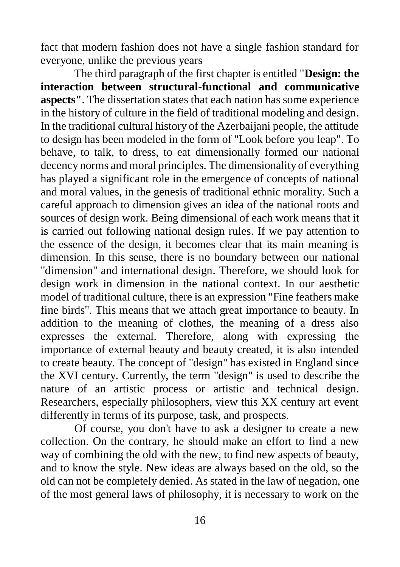fact that modern fashion does not have a single fashion standard for everyone, unlike the previous years

The third paragraph of the first chapter is entitled "**Design: the interaction between structural-functional and communicative aspects"**. The dissertation states that each nation has some experience in the history of culture in the field of traditional modeling and design. In the traditional cultural history of the Azerbaijani people, the attitude to design has been modeled in the form of "Look before you leap". To behave, to talk, to dress, to eat dimensionally formed our national decency norms and moral principles. The dimensionality of everything has played a significant role in the emergence of concepts of national and moral values, in the genesis of traditional ethnic morality. Such a careful approach to dimension gives an idea of the national roots and sources of design work. Being dimensional of each work means that it is carried out following national design rules. If we pay attention to the essence of the design, it becomes clear that its main meaning is dimension. In this sense, there is no boundary between our national "dimension" and international design. Therefore, we should look for design work in dimension in the national context. In our aesthetic model of traditional culture, there is an expression "Fine feathers make fine birds". This means that we attach great importance to beauty. In addition to the meaning of clothes, the meaning of a dress also expresses the external. Therefore, along with expressing the importance of external beauty and beauty created, it is also intended to create beauty. The concept of "design" has existed in England since the XVI century. Currently, the term "design" is used to describe the nature of an artistic process or artistic and technical design. Researchers, especially philosophers, view this XX century art event differently in terms of its purpose, task, and prospects.

Of course, you don't have to ask a designer to create a new collection. On the contrary, he should make an effort to find a new way of combining the old with the new, to find new aspects of beauty, and to know the style. New ideas are always based on the old, so the old can not be completely denied. As stated in the law of negation, one of the most general laws of philosophy, it is necessary to work on the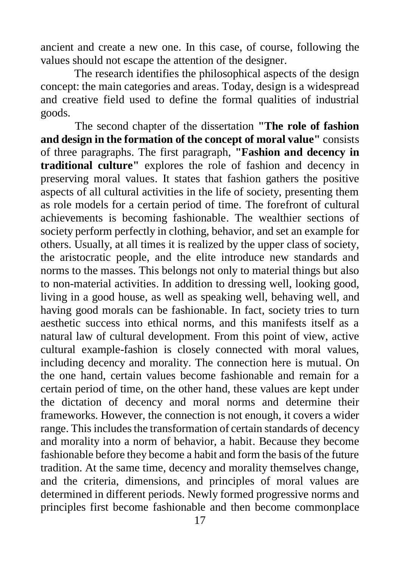ancient and create a new one. In this case, of course, following the values should not escape the attention of the designer.

The research identifies the philosophical aspects of the design concept: the main categories and areas. Today, design is a widespread and creative field used to define the formal qualities of industrial goods.

The second chapter of the dissertation **"The role of fashion and design in the formation of the concept of moral value"** consists of three paragraphs. The first paragraph, **"Fashion and decency in traditional culture"** explores the role of fashion and decency in preserving moral values. It states that fashion gathers the positive aspects of all cultural activities in the life of society, presenting them as role models for a certain period of time. The forefront of cultural achievements is becoming fashionable. The wealthier sections of society perform perfectly in clothing, behavior, and set an example for others. Usually, at all times it is realized by the upper class of society, the aristocratic people, and the elite introduce new standards and norms to the masses. This belongs not only to material things but also to non-material activities. In addition to dressing well, looking good, living in a good house, as well as speaking well, behaving well, and having good morals can be fashionable. In fact, society tries to turn aesthetic success into ethical norms, and this manifests itself as a natural law of cultural development. From this point of view, active cultural example-fashion is closely connected with moral values, including decency and morality. The connection here is mutual. On the one hand, certain values become fashionable and remain for a certain period of time, on the other hand, these values are kept under the dictation of decency and moral norms and determine their frameworks. However, the connection is not enough, it covers a wider range. This includes the transformation of certain standards of decency and morality into a norm of behavior, a habit. Because they become fashionable before they become a habit and form the basis of the future tradition. At the same time, decency and morality themselves change, and the criteria, dimensions, and principles of moral values are determined in different periods. Newly formed progressive norms and principles first become fashionable and then become commonplace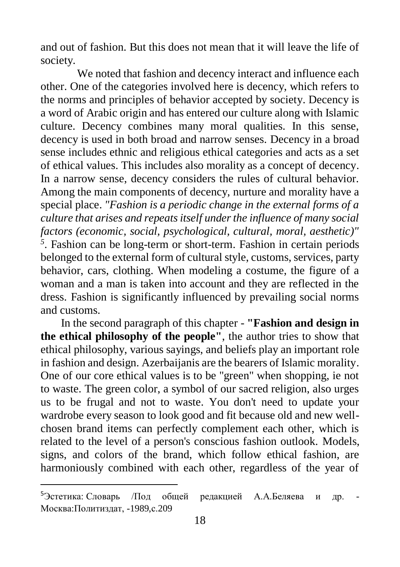and out of fashion. But this does not mean that it will leave the life of society.

We noted that fashion and decency interact and influence each other. One of the categories involved here is decency, which refers to the norms and principles of behavior accepted by society. Decency is a word of Arabic origin and has entered our culture along with Islamic culture. Decency combines many moral qualities. In this sense, decency is used in both broad and narrow senses. Decency in a broad sense includes ethnic and religious ethical categories and acts as a set of ethical values. This includes also morality as a concept of decency. In a narrow sense, decency considers the rules of cultural behavior. Among the main components of decency, nurture and morality have a special place. *"Fashion is a periodic change in the external forms of a culture that arises and repeats itself under the influence of many social factors (economic, social, psychological, cultural, moral, aesthetic)"* <sup>5</sup>. Fashion can be long-term or short-term. Fashion in certain periods belonged to the external form of cultural style, customs, services, party behavior, cars, clothing. When modeling a costume, the figure of a woman and a man is taken into account and they are reflected in the dress. Fashion is significantly influenced by prevailing social norms and customs.

In the second paragraph of this chapter - **"Fashion and design in the ethical philosophy of the people"**, the author tries to show that ethical philosophy, various sayings, and beliefs play an important role in fashion and design. Azerbaijanis are the bearers of Islamic morality. One of our core ethical values is to be "green" when shopping, ie not to waste. The green color, a symbol of our sacred religion, also urges us to be frugal and not to waste. You don't need to update your wardrobe every season to look good and fit because old and new wellchosen brand items can perfectly complement each other, which is related to the level of a person's conscious fashion outlook. Models, signs, and colors of the brand, which follow ethical fashion, are harmoniously combined with each other, regardless of the year of

1

<sup>5</sup>Эстетика: Словарь /Под общей редакцией А.А.Беляева и др. Москва:Политиздат, -1989,с.209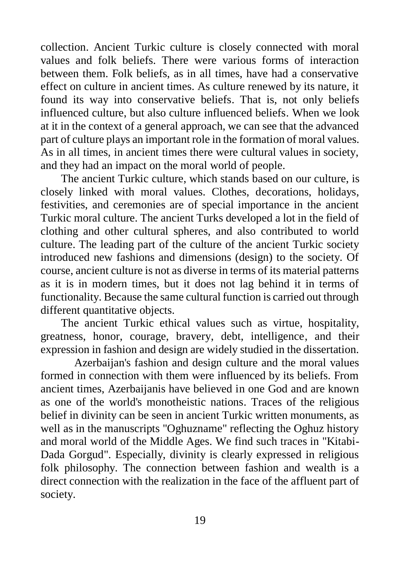collection. Ancient Turkic culture is closely connected with moral values and folk beliefs. There were various forms of interaction between them. Folk beliefs, as in all times, have had a conservative effect on culture in ancient times. As culture renewed by its nature, it found its way into conservative beliefs. That is, not only beliefs influenced culture, but also culture influenced beliefs. When we look at it in the context of a general approach, we can see that the advanced part of culture plays an important role in the formation of moral values. As in all times, in ancient times there were cultural values in society, and they had an impact on the moral world of people.

The ancient Turkic culture, which stands based on our culture, is closely linked with moral values. Clothes, decorations, holidays, festivities, and ceremonies are of special importance in the ancient Turkic moral culture. The ancient Turks developed a lot in the field of clothing and other cultural spheres, and also contributed to world culture. The leading part of the culture of the ancient Turkic society introduced new fashions and dimensions (design) to the society. Of course, ancient culture is not as diverse in terms of its material patterns as it is in modern times, but it does not lag behind it in terms of functionality. Because the same cultural function is carried out through different quantitative objects.

The ancient Turkic ethical values such as virtue, hospitality, greatness, honor, courage, bravery, debt, intelligence, and their expression in fashion and design are widely studied in the dissertation.

Azerbaijan's fashion and design culture and the moral values formed in connection with them were influenced by its beliefs. From ancient times, Azerbaijanis have believed in one God and are known as one of the world's monotheistic nations. Traces of the religious belief in divinity can be seen in ancient Turkic written monuments, as well as in the manuscripts "Oghuzname" reflecting the Oghuz history and moral world of the Middle Ages. We find such traces in "Kitabi-Dada Gorgud". Especially, divinity is clearly expressed in religious folk philosophy. The connection between fashion and wealth is a direct connection with the realization in the face of the affluent part of society.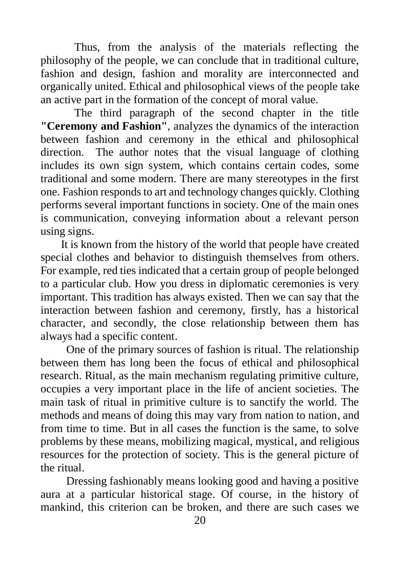Thus, from the analysis of the materials reflecting the philosophy of the people, we can conclude that in traditional culture, fashion and design, fashion and morality are interconnected and organically united. Ethical and philosophical views of the people take an active part in the formation of the concept of moral value.

The third paragraph of the second chapter in the title **"Ceremony and Fashion"**, analyzes the dynamics of the interaction between fashion and ceremony in the ethical and philosophical direction. The author notes that the visual language of clothing includes its own sign system, which contains certain codes, some traditional and some modern. There are many stereotypes in the first one. Fashion responds to art and technology changes quickly. Clothing performs several important functions in society. One of the main ones is communication, conveying information about a relevant person using signs.

It is known from the history of the world that people have created special clothes and behavior to distinguish themselves from others. For example, red ties indicated that a certain group of people belonged to a particular club. How you dress in diplomatic ceremonies is very important. This tradition has always existed. Then we can say that the interaction between fashion and ceremony, firstly, has a historical character, and secondly, the close relationship between them has always had a specific content.

One of the primary sources of fashion is ritual. The relationship between them has long been the focus of ethical and philosophical research. Ritual, as the main mechanism regulating primitive culture, occupies a very important place in the life of ancient societies. The main task of ritual in primitive culture is to sanctify the world. The methods and means of doing this may vary from nation to nation, and from time to time. But in all cases the function is the same, to solve problems by these means, mobilizing magical, mystical, and religious resources for the protection of society. This is the general picture of the ritual.

Dressing fashionably means looking good and having a positive aura at a particular historical stage. Of course, in the history of mankind, this criterion can be broken, and there are such cases we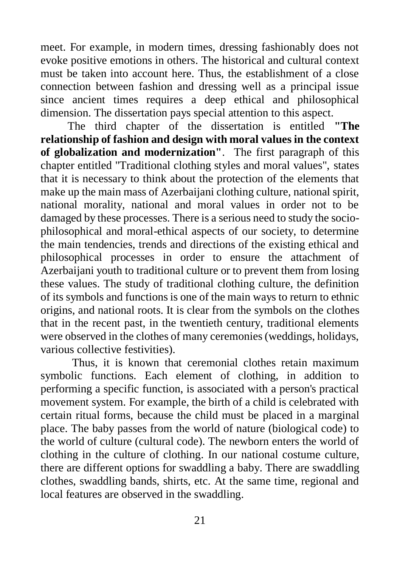meet. For example, in modern times, dressing fashionably does not evoke positive emotions in others. The historical and cultural context must be taken into account here. Thus, the establishment of a close connection between fashion and dressing well as a principal issue since ancient times requires a deep ethical and philosophical dimension. The dissertation pays special attention to this aspect.

The third chapter of the dissertation is entitled **"The relationship of fashion and design with moral values in the context of globalization and modernization"**. The first paragraph of this chapter entitled "Traditional clothing styles and moral values", states that it is necessary to think about the protection of the elements that make up the main mass of Azerbaijani clothing culture, national spirit, national morality, national and moral values in order not to be damaged by these processes. There is a serious need to study the sociophilosophical and moral-ethical aspects of our society, to determine the main tendencies, trends and directions of the existing ethical and philosophical processes in order to ensure the attachment of Azerbaijani youth to traditional culture or to prevent them from losing these values. The study of traditional clothing culture, the definition of its symbols and functions is one of the main ways to return to ethnic origins, and national roots. It is clear from the symbols on the clothes that in the recent past, in the twentieth century, traditional elements were observed in the clothes of many ceremonies (weddings, holidays, various collective festivities).

 Thus, it is known that ceremonial clothes retain maximum symbolic functions. Each element of clothing, in addition to performing a specific function, is associated with a person's practical movement system. For example, the birth of a child is celebrated with certain ritual forms, because the child must be placed in a marginal place. The baby passes from the world of nature (biological code) to the world of culture (cultural code). The newborn enters the world of clothing in the culture of clothing. In our national costume culture, there are different options for swaddling a baby. There are swaddling clothes, swaddling bands, shirts, etc. At the same time, regional and local features are observed in the swaddling.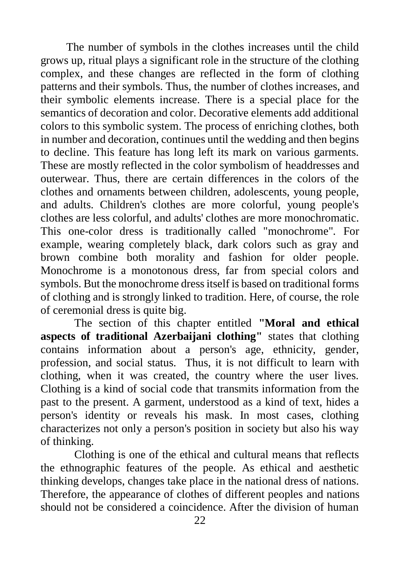The number of symbols in the clothes increases until the child grows up, ritual plays a significant role in the structure of the clothing complex, and these changes are reflected in the form of clothing patterns and their symbols. Thus, the number of clothes increases, and their symbolic elements increase. There is a special place for the semantics of decoration and color. Decorative elements add additional colors to this symbolic system. The process of enriching clothes, both in number and decoration, continues until the wedding and then begins to decline. This feature has long left its mark on various garments. These are mostly reflected in the color symbolism of headdresses and outerwear. Thus, there are certain differences in the colors of the clothes and ornaments between children, adolescents, young people, and adults. Children's clothes are more colorful, young people's clothes are less colorful, and adults' clothes are more monochromatic. This one-color dress is traditionally called "monochrome". For example, wearing completely black, dark colors such as gray and brown combine both morality and fashion for older people. Monochrome is a monotonous dress, far from special colors and symbols. But the monochrome dress itself is based on traditional forms of clothing and is strongly linked to tradition. Here, of course, the role of ceremonial dress is quite big.

The section of this chapter entitled **"Moral and ethical aspects of traditional Azerbaijani clothing"** states that clothing contains information about a person's age, ethnicity, gender, profession, and social status. Thus, it is not difficult to learn with clothing, when it was created, the country where the user lives. Clothing is a kind of social code that transmits information from the past to the present. A garment, understood as a kind of text, hides a person's identity or reveals his mask. In most cases, clothing characterizes not only a person's position in society but also his way of thinking.

Clothing is one of the ethical and cultural means that reflects the ethnographic features of the people. As ethical and aesthetic thinking develops, changes take place in the national dress of nations. Therefore, the appearance of clothes of different peoples and nations should not be considered a coincidence. After the division of human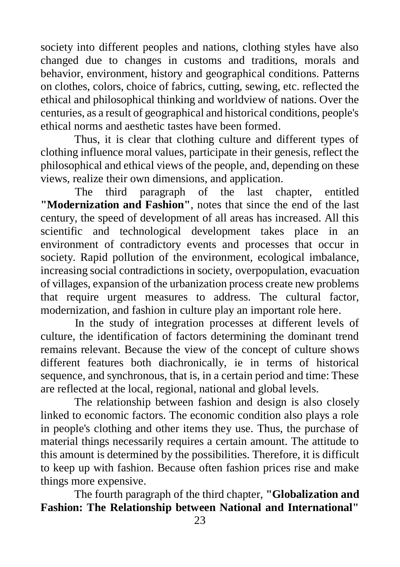society into different peoples and nations, clothing styles have also changed due to changes in customs and traditions, morals and behavior, environment, history and geographical conditions. Patterns on clothes, colors, choice of fabrics, cutting, sewing, etc. reflected the ethical and philosophical thinking and worldview of nations. Over the centuries, as a result of geographical and historical conditions, people's ethical norms and aesthetic tastes have been formed.

Thus, it is clear that clothing culture and different types of clothing influence moral values, participate in their genesis, reflect the philosophical and ethical views of the people, and, depending on these views, realize their own dimensions, and application.

 The third paragraph of the last chapter, entitled **"Modernization and Fashion"**, notes that since the end of the last century, the speed of development of all areas has increased. All this scientific and technological development takes place in an environment of contradictory events and processes that occur in society. Rapid pollution of the environment, ecological imbalance, increasing social contradictions in society, overpopulation, evacuation of villages, expansion of the urbanization process create new problems that require urgent measures to address. The cultural factor, modernization, and fashion in culture play an important role here.

In the study of integration processes at different levels of culture, the identification of factors determining the dominant trend remains relevant. Because the view of the concept of culture shows different features both diachronically, ie in terms of historical sequence, and synchronous, that is, in a certain period and time: These are reflected at the local, regional, national and global levels.

The relationship between fashion and design is also closely linked to economic factors. The economic condition also plays a role in people's clothing and other items they use. Thus, the purchase of material things necessarily requires a certain amount. The attitude to this amount is determined by the possibilities. Therefore, it is difficult to keep up with fashion. Because often fashion prices rise and make things more expensive.

The fourth paragraph of the third chapter, **"Globalization and Fashion: The Relationship between National and International"**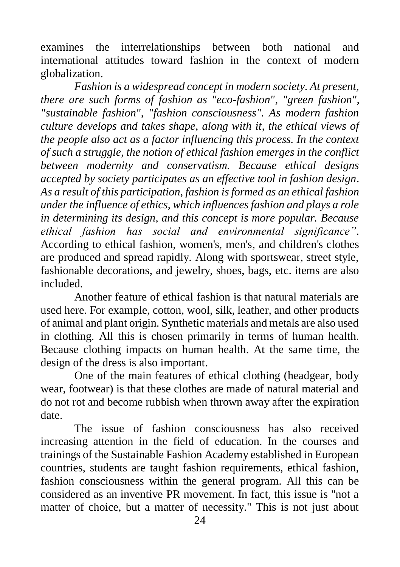examines the interrelationships between both national and international attitudes toward fashion in the context of modern globalization.

*Fashion is a widespread concept in modern society. At present, there are such forms of fashion as "eco-fashion", "green fashion", "sustainable fashion", "fashion consciousness". As modern fashion culture develops and takes shape, along with it, the ethical views of the people also act as a factor influencing this process. In the context of such a struggle, the notion of ethical fashion emerges in the conflict between modernity and conservatism. Because ethical designs accepted by society participates as an effective tool in fashion design. As a result of this participation, fashion is formed as an ethical fashion under the influence of ethics, which influences fashion and plays a role in determining its design, and this concept is more popular. Because ethical fashion has social and environmental significance".*  According to ethical fashion, women's, men's, and children's clothes are produced and spread rapidly. Along with sportswear, street style, fashionable decorations, and jewelry, shoes, bags, etc. items are also included*.*

Another feature of ethical fashion is that natural materials are used here. For example, cotton, wool, silk, leather, and other products of animal and plant origin. Synthetic materials and metals are also used in clothing. All this is chosen primarily in terms of human health. Because clothing impacts on human health. At the same time, the design of the dress is also important.

One of the main features of ethical clothing (headgear, body wear, footwear) is that these clothes are made of natural material and do not rot and become rubbish when thrown away after the expiration date.

The issue of fashion consciousness has also received increasing attention in the field of education. In the courses and trainings of the Sustainable Fashion Academy established in European countries, students are taught fashion requirements, ethical fashion, fashion consciousness within the general program. All this can be considered as an inventive PR movement. In fact, this issue is "not a matter of choice, but a matter of necessity." This is not just about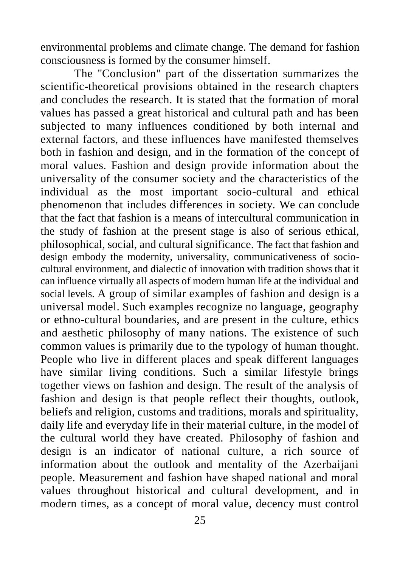environmental problems and climate change. The demand for fashion consciousness is formed by the consumer himself.

The "Conclusion" part of the dissertation summarizes the scientific-theoretical provisions obtained in the research chapters and concludes the research. It is stated that the formation of moral values has passed a great historical and cultural path and has been subjected to many influences conditioned by both internal and external factors, and these influences have manifested themselves both in fashion and design, and in the formation of the concept of moral values. Fashion and design provide information about the universality of the consumer society and the characteristics of the individual as the most important socio-cultural and ethical phenomenon that includes differences in society. We can conclude that the fact that fashion is a means of intercultural communication in the study of fashion at the present stage is also of serious ethical, philosophical, social, and cultural significance. The fact that fashion and design embody the modernity, universality, communicativeness of sociocultural environment, and dialectic of innovation with tradition shows that it can influence virtually all aspects of modern human life at the individual and social levels. A group of similar examples of fashion and design is a universal model. Such examples recognize no language, geography or ethno-cultural boundaries, and are present in the culture, ethics and aesthetic philosophy of many nations. The existence of such common values is primarily due to the typology of human thought. People who live in different places and speak different languages have similar living conditions. Such a similar lifestyle brings together views on fashion and design. The result of the analysis of fashion and design is that people reflect their thoughts, outlook, beliefs and religion, customs and traditions, morals and spirituality, daily life and everyday life in their material culture, in the model of the cultural world they have created. Philosophy of fashion and design is an indicator of national culture, a rich source of information about the outlook and mentality of the Azerbaijani people. Measurement and fashion have shaped national and moral values throughout historical and cultural development, and in modern times, as a concept of moral value, decency must control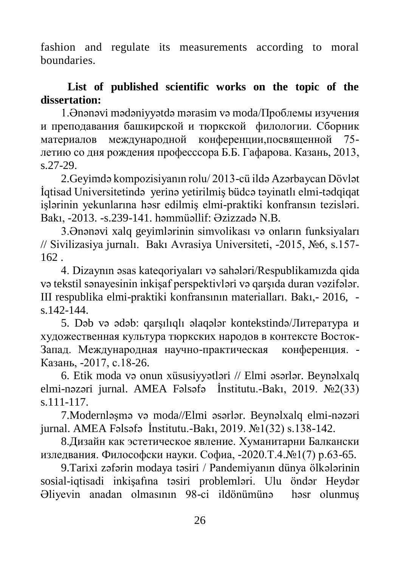fashion and regulate its measurements according to moral boundaries.

## **List of published scientific works on the topic of the dissertation:**

1.Ənənəvi mədəniyyətdə mərasim və moda/Проблемы изучения и преподавания башкирской и тюркской филологии. Сборник материалов международной конференции,посвященной 75 летию со дня рождения професссора Б.Б. Гафарова. Казань, 2013, s.27-29.

2.Geyimdə kompozisiyanın rolu/ 2013-cü ildə Azərbaycan Dövlət İqtisad Universitetində yerinə yetirilmiş büdcə təyinatlı elmi-tədqiqat işlərinin yekunlarına həsr edilmiş elmi-praktiki konfransın tezisləri. Bakı, -2013. -s.239-141. həmmüəllif: Əzizzadə N.B.

3.Ənənəvi xalq geyimlərinin simvolikası və onların funksiyaları // Sivilizasiya jurnalı. Bakı Avrasiya Universiteti, -2015, №6, s.157- 162 .

4. Dizaynın əsas kateqoriyaları və sahələri/Respublikamızda qida və tekstil sənayesinin inkişaf perspektivləri və qarşıda duran vəzifələr. III respublika elmi-praktiki konfransının materialları. Bakı,- 2016, s.142-144.

5. Dəb və ədəb: qarşılıqlı əlaqələr kontekstində/Литература и художественная культура тюркских народов в контексте Восток-Запад. Международная научно-практическая конференция. - Казань, -2017, с.18-26.

6. Etik moda və onun xüsusiyyətləri // Elmi əsərlər. Beynəlxalq elmi-nəzəri jurnal. AMEA Fəlsəfə İnstitutu.-Bakı, 2019. №2(33) s.111-117.

7.Modernləşmə və moda//Elmi əsərlər. Beynəlxalq elmi-nəzəri jurnal. AMEA Fəlsəfə İnstitutu.-Bakı, 2019. №1(32) s.138-142.

8.Дизайн как эстетическое явление. Хуманитарни Балкански изледвания. Философски науки. Софиа, -2020.Т.4.№1(7) p.63-65.

9.Tarixi zəfərin modaya təsiri / Pandemiyanın dünya ölkələrinin sosial-iqtisadi inkişafına təsiri problemləri. Ulu öndər Heydər Əliyevin anadan olmasının 98-ci ildönümünə həsr olunmuş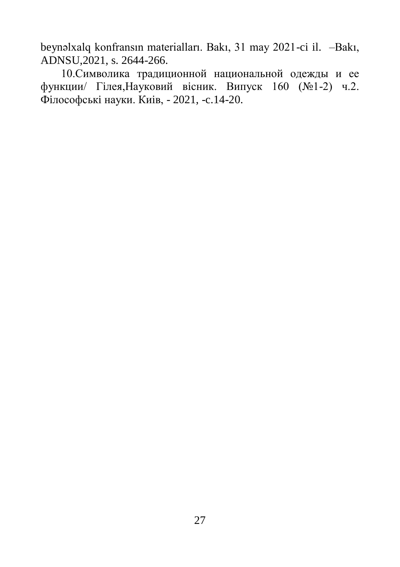beynəlxalq konfransın materialları. Bakı, 31 may 2021-ci il. –Bakı, ADNSU,2021, s. 2644-266.

10.Символика традиционной национальной одежды и ее функции/ Гiлея,Науковий вiсник. Випуск 160 (№1-2) ч.2. Фiлософськi науки. Киiв, - 2021, -c.14-20.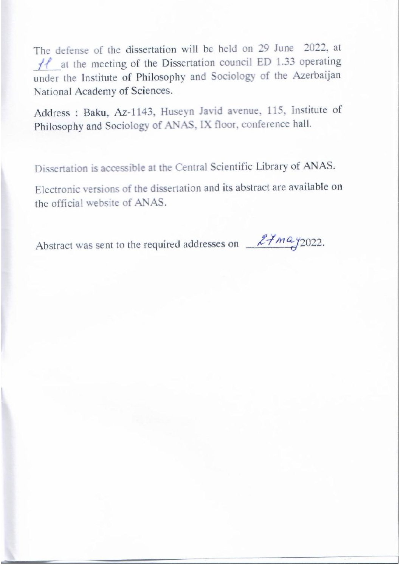The defense of the dissertation will be held on 29 June 2022, at  $H$  at the meeting of the Dissertation council ED 1.33 operating under the Institute of Philosophy and Sociology of the Azerbaijan National Academy of Sciences.

Address : Baku, Az-1143, Huseyn Javid avenue, 115, Institute of Philosophy and Sociology of ANAS, IX floor, conference hall.

Dissertation is accessible at the Central Scientific Library of ANAS.

Electronic versions of the dissertation and its abstract are available on the official website of ANAS.

Abstract was sent to the required addresses on  $24$  may 2022.